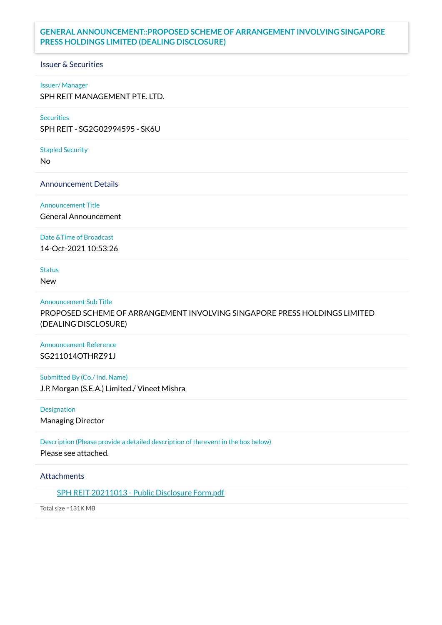## **GENERAL ANNOUNCEMENT::PROPOSED SCHEME OF ARRANGEMENT INVOLVING SINGAPORE PRESS HOLDINGS LIMITED (DEALING DISCLOSURE)**

### Issuer & Securities

#### Issuer/ Manager

SPH REIT MANAGEMENT PTE. LTD.

# **Securities**

SPH REIT - SG2G02994595 - SK6U

#### Stapled Security

No

Announcement Details

Announcement Title

General Announcement

Date &Time of Broadcast

14-Oct-2021 10:53:26

Status

New

#### Announcement Sub Title

PROPOSED SCHEME OF ARRANGEMENT INVOLVING SINGAPORE PRESS HOLDINGS LIMITED (DEALING DISCLOSURE)

# Announcement Reference SG211014OTHRZ91J

Submitted By (Co./ Ind. Name) J.P. Morgan (S.E.A.) Limited./ Vineet Mishra

Designation Managing Director

Description (Please provide a detailed description of the event in the box below) Please see attached.

### **Attachments**

SPH REIT [20211013](https://links.sgx.com/1.0.0/corporate-announcements/NU4VUO9V32T8R9KA/686726_SPH%20REIT%2020211013%20-%20Public%20Disclosure%20Form.pdf) - Public Disclosure Form.pdf

Total size =131K MB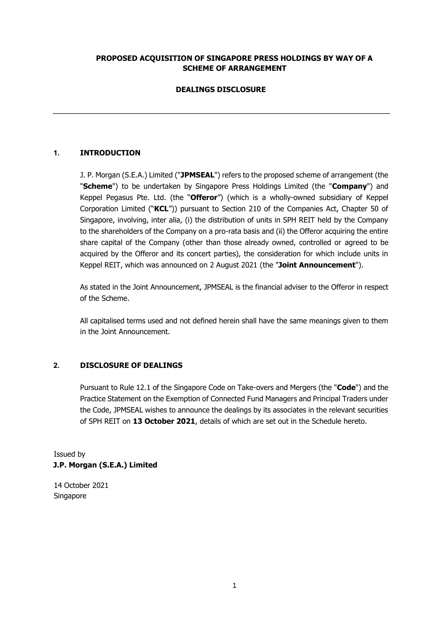### **PROPOSED ACQUISITION OF SINGAPORE PRESS HOLDINGS BY WAY OF A SCHEME OF ARRANGEMENT**

# **DEALINGS DISCLOSURE**

# **1. INTRODUCTION**

J. P. Morgan (S.E.A.) Limited ("**JPMSEAL**") refers to the proposed scheme of arrangement (the "**Scheme**") to be undertaken by Singapore Press Holdings Limited (the "**Company**") and Keppel Pegasus Pte. Ltd. (the "**Offeror**") (which is a wholly-owned subsidiary of Keppel Corporation Limited ("**KCL**")) pursuant to Section 210 of the Companies Act, Chapter 50 of Singapore, involving, inter alia, (i) the distribution of units in SPH REIT held by the Company to the shareholders of the Company on a pro-rata basis and (ii) the Offeror acquiring the entire share capital of the Company (other than those already owned, controlled or agreed to be acquired by the Offeror and its concert parties), the consideration for which include units in Keppel REIT, which was announced on 2 August 2021 (the "**Joint Announcement**").

As stated in the Joint Announcement, JPMSEAL is the financial adviser to the Offeror in respect of the Scheme.

All capitalised terms used and not defined herein shall have the same meanings given to them in the Joint Announcement.

#### **2. DISCLOSURE OF DEALINGS**

Pursuant to Rule 12.1 of the Singapore Code on Take-overs and Mergers (the "**Code**") and the Practice Statement on the Exemption of Connected Fund Managers and Principal Traders under the Code, JPMSEAL wishes to announce the dealings by its associates in the relevant securities of SPH REIT on **13 October 2021**, details of which are set out in the Schedule hereto.

Issued by **J.P. Morgan (S.E.A.) Limited** 

14 October 2021 Singapore